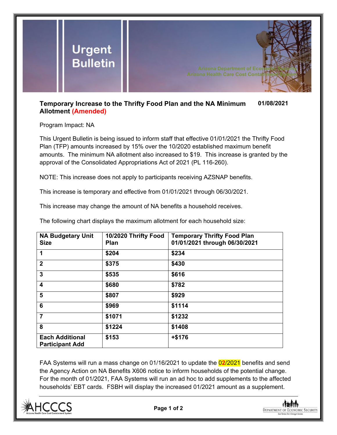

## **Temporary Increase to the Thrifty Food Plan and the NA Minimum Allotment (Amended) 01/08/2021**

Program Impact: NA

This Urgent Bulletin is being issued to inform staff that effective 01/01/2021 the Thrifty Food Plan (TFP) amounts increased by 15% over the 10/2020 established maximum benefit amounts. The minimum NA allotment also increased to \$19. This increase is granted by the approval of the Consolidated Appropriations Act of 2021 (PL 116-260).

NOTE: This increase does not apply to participants receiving AZSNAP benefits.

This increase is temporary and effective from 01/01/2021 through 06/30/2021.

This increase may change the amount of NA benefits a household receives.

The following chart displays the maximum allotment for each household size:

| <b>NA Budgetary Unit</b><br><b>Size</b>          | 10/2020 Thrifty Food<br><b>Plan</b> | <b>Temporary Thrifty Food Plan</b><br>01/01/2021 through 06/30/2021 |
|--------------------------------------------------|-------------------------------------|---------------------------------------------------------------------|
| 1                                                | \$204                               | \$234                                                               |
| $\overline{2}$                                   | \$375                               | \$430                                                               |
| $\overline{3}$                                   | \$535                               | \$616                                                               |
| $\overline{\mathbf{4}}$                          | \$680                               | \$782                                                               |
| 5                                                | \$807                               | \$929                                                               |
| 6                                                | \$969                               | \$1114                                                              |
| $\overline{7}$                                   | \$1071                              | \$1232                                                              |
| 8                                                | \$1224                              | \$1408                                                              |
| <b>Each Additional</b><br><b>Participant Add</b> | \$153                               | $+ $176$                                                            |

FAA Systems will run a mass change on 01/16/2021 to update the 0**2**/2021 benefits and send the Agency Action on NA Benefits X606 notice to inform households of the potential change. For the month of 01/2021, FAA Systems will run an ad hoc to add supplements to the affected households' EBT cards. FSBH will display the increased 01/2021 amount as a supplement.